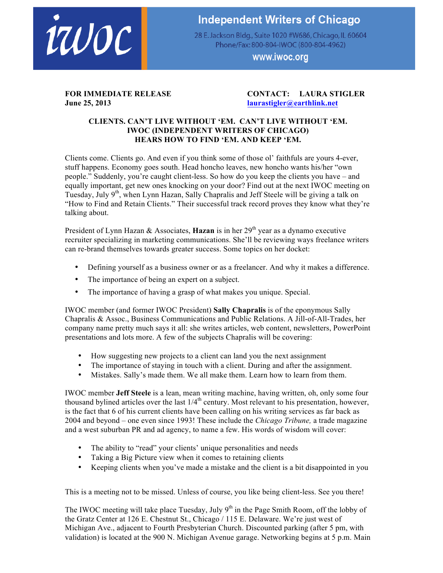

## **Independent Writers of Chicago**

28 E. Jackson Bldg., Suite 1020 #W686, Chicago, IL 60604 Phone/Fax: 800-804-IWOC (800-804-4962)

www.iwoc.org

## **June 25, 2013 laurastigler@earthlink.net**

## **FOR IMMEDIATE RELEASE CONTACT: LAURA STIGLER**

## **CLIENTS. CAN'T LIVE WITHOUT 'EM. CAN'T LIVE WITHOUT 'EM. IWOC (INDEPENDENT WRITERS OF CHICAGO) HEARS HOW TO FIND 'EM. AND KEEP 'EM.**

Clients come. Clients go. And even if you think some of those ol' faithfuls are yours 4-ever, stuff happens. Economy goes south. Head honcho leaves, new honcho wants his/her "own people." Suddenly, you're caught client-less. So how do you keep the clients you have – and equally important, get new ones knocking on your door? Find out at the next IWOC meeting on Tuesday, July  $9<sup>th</sup>$ , when Lynn Hazan, Sally Chapralis and Jeff Steele will be giving a talk on "How to Find and Retain Clients." Their successful track record proves they know what they're talking about.

President of Lynn Hazan  $\&$  Associates, **Hazan** is in her 29<sup>th</sup> year as a dynamo executive recruiter specializing in marketing communications. She'll be reviewing ways freelance writers can re-brand themselves towards greater success. Some topics on her docket:

- Defining yourself as a business owner or as a freelancer. And why it makes a difference.
- The importance of being an expert on a subject.
- The importance of having a grasp of what makes you unique. Special.

IWOC member (and former IWOC President) **Sally Chapralis** is of the eponymous Sally Chapralis & Assoc., Business Communications and Public Relations. A Jill-of-All-Trades, her company name pretty much says it all: she writes articles, web content, newsletters, PowerPoint presentations and lots more. A few of the subjects Chapralis will be covering:

- How suggesting new projects to a client can land you the next assignment
- The importance of staying in touch with a client. During and after the assignment.
- Mistakes. Sally's made them. We all make them. Learn how to learn from them.

IWOC member **Jeff Steele** is a lean, mean writing machine, having written, oh, only some four throw is increased to a reality, mean trivially increasing, any any component to his presentation, however, is the fact that 6 of his current clients have been calling on his writing services as far back as 2004 and beyond – one even since 1993! These include the *Chicago Tribune,* a trade magazine and a west suburban PR and ad agency, to name a few. His words of wisdom will cover:

- The ability to "read" your clients' unique personalities and needs
- Taking a Big Picture view when it comes to retaining clients
- Keeping clients when you've made a mistake and the client is a bit disappointed in you

This is a meeting not to be missed. Unless of course, you like being client-less. See you there!

The IWOC meeting will take place Tuesday, July  $9<sup>th</sup>$  in the Page Smith Room, off the lobby of the Gratz Center at 126 E. Chestnut St., Chicago / 115 E. Delaware. We're just west of Michigan Ave., adjacent to Fourth Presbyterian Church. Discounted parking (after 5 pm, with validation) is located at the 900 N. Michigan Avenue garage. Networking begins at 5 p.m. Main